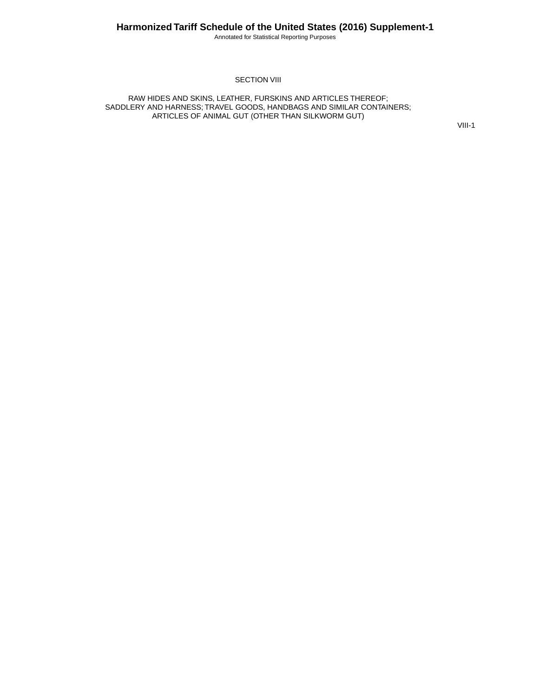Annotated for Statistical Reporting Purposes

#### **SECTION VIII**

RAW HIDES AND SKINS, LEATHER, FURSKINS AND ARTICLES THEREOF; SADDLERY AND HARNESS; TRAVEL GOODS, HANDBAGS AND SIMILAR CONTAINERS; ARTICLES OF ANIMAL GUT (OTHER THAN SILKWORM GUT)

VIII-1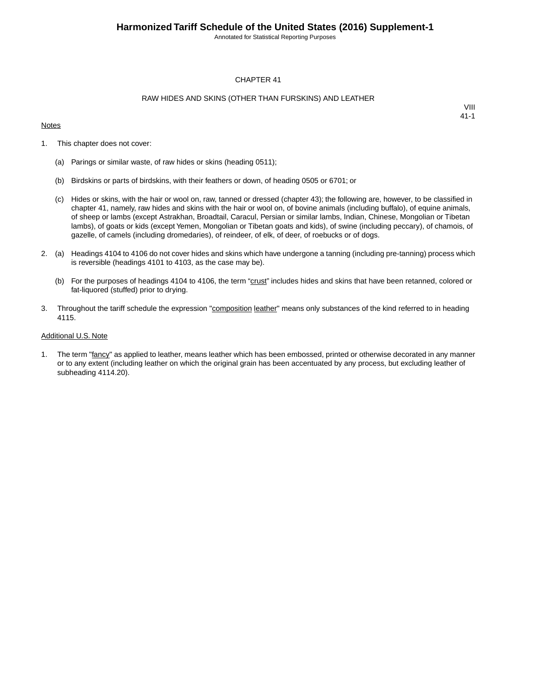Annotated for Statistical Reporting Purposes

#### CHAPTER 41

#### RAW HIDES AND SKINS (OTHER THAN FURSKINS) AND LEATHER

#### **Notes**

VIII 41-1

- 1. This chapter does not cover:
	- (a) Parings or similar waste, of raw hides or skins (heading 0511);
	- (b) Birdskins or parts of birdskins, with their feathers or down, of heading 0505 or 6701; or
	- (c) Hides or skins, with the hair or wool on, raw, tanned or dressed (chapter 43); the following are, however, to be classified in chapter 41, namely, raw hides and skins with the hair or wool on, of bovine animals (including buffalo), of equine animals, of sheep or lambs (except Astrakhan, Broadtail, Caracul, Persian or similar lambs, Indian, Chinese, Mongolian or Tibetan lambs), of goats or kids (except Yemen, Mongolian or Tibetan goats and kids), of swine (including peccary), of chamois, of gazelle, of camels (including dromedaries), of reindeer, of elk, of deer, of roebucks or of dogs.
- 2. (a) Headings 4104 to 4106 do not cover hides and skins which have undergone a tanning (including pre-tanning) process which is reversible (headings 4101 to 4103, as the case may be).
	- (b) For the purposes of headings 4104 to 4106, the term "crust" includes hides and skins that have been retanned, colored or fat-liquored (stuffed) prior to drying.
- 3. Throughout the tariff schedule the expression "composition leather" means only substances of the kind referred to in heading 4115.

#### Additional U.S. Note

1. The term "fancy" as applied to leather, means leather which has been embossed, printed or otherwise decorated in any manner or to any extent (including leather on which the original grain has been accentuated by any process, but excluding leather of subheading 4114.20).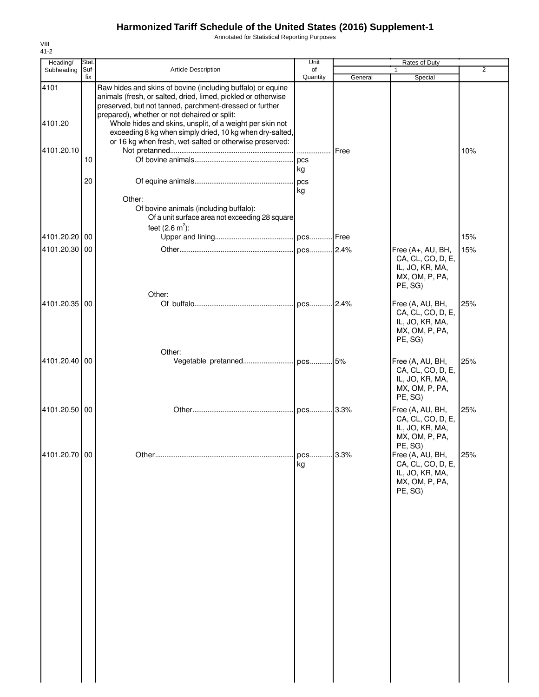Annotated for Statistical Reporting Purposes

| Heading/        | Stat.       |                                                                                                                                                                                                                                                                                                     | Unit             |         | Rates of Duty                                                                          |                |
|-----------------|-------------|-----------------------------------------------------------------------------------------------------------------------------------------------------------------------------------------------------------------------------------------------------------------------------------------------------|------------------|---------|----------------------------------------------------------------------------------------|----------------|
| Subheading      | Suf-<br>fix | <b>Article Description</b>                                                                                                                                                                                                                                                                          | of<br>Quantity   | General | 1<br>Special                                                                           | $\overline{2}$ |
| 4101<br>4101.20 |             | Raw hides and skins of bovine (including buffalo) or equine<br>animals (fresh, or salted, dried, limed, pickled or otherwise<br>preserved, but not tanned, parchment-dressed or further<br>prepared), whether or not dehaired or split:<br>Whole hides and skins, unsplit, of a weight per skin not |                  |         |                                                                                        |                |
| 4101.20.10      |             | exceeding 8 kg when simply dried, 10 kg when dry-salted,<br>or 16 kg when fresh, wet-salted or otherwise preserved:                                                                                                                                                                                 |                  | Free    |                                                                                        | 10%            |
|                 | 10<br>20    |                                                                                                                                                                                                                                                                                                     | kg               |         |                                                                                        |                |
|                 |             | Other:<br>Of bovine animals (including buffalo):<br>Of a unit surface area not exceeding 28 square<br>feet $(2.6 \text{ m}^2)$ :                                                                                                                                                                    | kg               |         |                                                                                        |                |
| 4101.20.20 00   |             |                                                                                                                                                                                                                                                                                                     |                  |         |                                                                                        | 15%            |
| 4101.20.30 00   |             |                                                                                                                                                                                                                                                                                                     |                  |         | Free (A+, AU, BH,<br>CA, CL, CO, D, E,<br>IL, JO, KR, MA,<br>MX, OM, P, PA,<br>PE, SG) | 15%            |
| 4101.20.35 00   |             | Other:                                                                                                                                                                                                                                                                                              |                  |         | Free (A, AU, BH,<br>CA, CL, CO, D, E,<br>IL, JO, KR, MA,<br>MX, OM, P, PA,<br>PE, SG)  | 25%            |
| 4101.20.40 00   |             | Other:                                                                                                                                                                                                                                                                                              |                  |         | Free (A, AU, BH,<br>CA, CL, CO, D, E,                                                  | 25%            |
|                 |             |                                                                                                                                                                                                                                                                                                     |                  |         | IL, JO, KR, MA,<br>MX, OM, P, PA,<br>PE, SG)                                           |                |
| 4101.20.50 00   |             |                                                                                                                                                                                                                                                                                                     |                  |         | Free (A, AU, BH,<br>CA, CL, CO, D, E,<br>IL, JO, KR, MA,<br>MX, OM, P, PA,<br>PE, SG)  | 25%            |
| 4101.20.70 00   |             |                                                                                                                                                                                                                                                                                                     | . pcs 3.3%<br>kg |         | Free (A, AU, BH,<br>CA, CL, CO, D, E,<br>IL, JO, KR, MA,<br>MX, OM, P, PA,<br>PE, SG)  | 25%            |
|                 |             |                                                                                                                                                                                                                                                                                                     |                  |         |                                                                                        |                |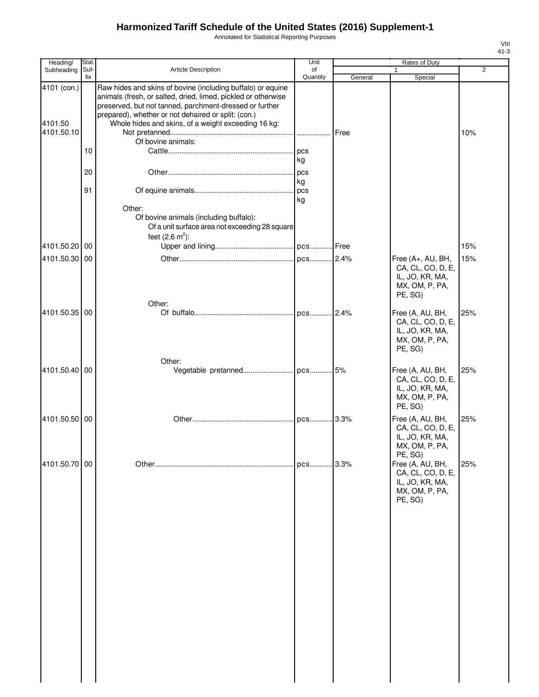Annotated for Statistical Reporting Purposes

| Heading/               | Stat. |                                                                                                                                                                                                                                                                                                       | Unit            |         | Rates of Duty                                                                          |                |
|------------------------|-------|-------------------------------------------------------------------------------------------------------------------------------------------------------------------------------------------------------------------------------------------------------------------------------------------------------|-----------------|---------|----------------------------------------------------------------------------------------|----------------|
| Subheading             | Suf-  | Article Description                                                                                                                                                                                                                                                                                   | of              |         |                                                                                        | $\overline{2}$ |
| 4101 (con.)<br>4101.50 | fix   | Raw hides and skins of bovine (including buffalo) or equine<br>animals (fresh, or salted, dried, limed, pickled or otherwise<br>preserved, but not tanned, parchment-dressed or further<br>prepared), whether or not dehaired or split: (con.)<br>Whole hides and skins, of a weight exceeding 16 kg: | Quantity        | General | Special                                                                                |                |
| 4101.50.10             | 10    | Of bovine animals:                                                                                                                                                                                                                                                                                    | pcs             |         |                                                                                        | 10%            |
|                        | 20    |                                                                                                                                                                                                                                                                                                       | kg<br>pcs<br>kg |         |                                                                                        |                |
|                        | 91    | Other:<br>Of bovine animals (including buffalo):<br>Of a unit surface area not exceeding 28 square                                                                                                                                                                                                    | pcs<br>kg       |         |                                                                                        |                |
|                        |       | feet $(2.6 \text{ m}^2)$ :                                                                                                                                                                                                                                                                            |                 |         |                                                                                        |                |
| 4101.50.20 00          |       |                                                                                                                                                                                                                                                                                                       |                 |         |                                                                                        | 15%            |
| 4101.50.30 00          |       |                                                                                                                                                                                                                                                                                                       |                 |         | Free (A+, AU, BH,<br>CA, CL, CO, D, E,<br>IL, JO, KR, MA,<br>MX, OM, P, PA,<br>PE, SG) | 15%            |
| 4101.50.35 00          |       | Other:                                                                                                                                                                                                                                                                                                |                 |         | Free (A, AU, BH,<br>CA, CL, CO, D, E,<br>IL, JO, KR, MA,<br>MX, OM, P, PA,<br>PE, SG)  | 25%            |
| 4101.50.40 00          |       | Other:                                                                                                                                                                                                                                                                                                |                 |         | Free (A, AU, BH,<br>CA, CL, CO, D, E,<br>IL, JO, KR, MA,<br>MX, OM, P, PA,<br>PE, SG)  | 25%            |
| 4101.50.50 00          |       |                                                                                                                                                                                                                                                                                                       | pcs 3.3%        |         | Free (A, AU, BH,<br>CA, CL, CO, D, E,<br>IL, JO, KR, MA,<br>MX, OM, P, PA,<br>PE, SG)  | 25%            |
| 4101.50.70 00          |       |                                                                                                                                                                                                                                                                                                       | pcs 3.3%        |         | Free (A, AU, BH,<br>CA, CL, CO, D, E,<br>IL, JO, KR, MA,<br>MX, OM, P, PA,<br>PE, SG)  | 25%            |
|                        |       |                                                                                                                                                                                                                                                                                                       |                 |         |                                                                                        |                |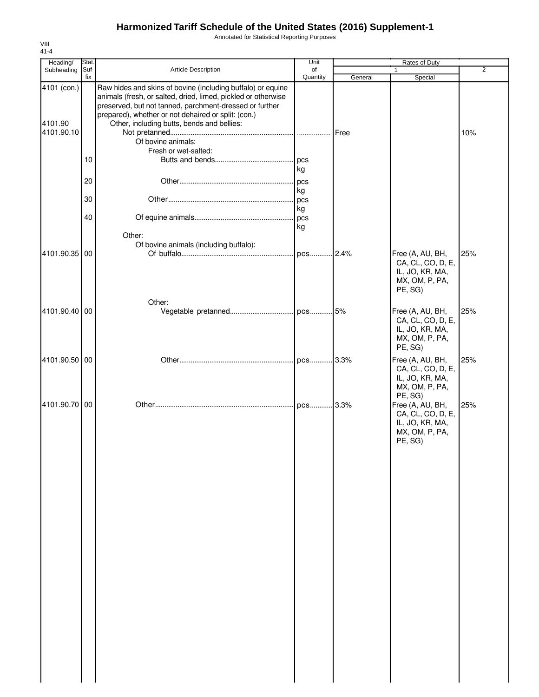Annotated for Statistical Reporting Purposes

| Heading/                             | Stat.       |                                                                                                                                                                                                                                                                                                                    | Unit           |         | Rates of Duty                                                                         |                |
|--------------------------------------|-------------|--------------------------------------------------------------------------------------------------------------------------------------------------------------------------------------------------------------------------------------------------------------------------------------------------------------------|----------------|---------|---------------------------------------------------------------------------------------|----------------|
| Subheading                           | Suf-<br>fix | Article Description                                                                                                                                                                                                                                                                                                | of<br>Quantity | General | Special                                                                               | $\overline{2}$ |
| 4101 (con.)<br>4101.90<br>4101.90.10 |             | Raw hides and skins of bovine (including buffalo) or equine<br>animals (fresh, or salted, dried, limed, pickled or otherwise<br>preserved, but not tanned, parchment-dressed or further<br>prepared), whether or not dehaired or split: (con.)<br>Other, including butts, bends and bellies:<br>Of bovine animals: |                |         |                                                                                       | 10%            |
|                                      | 10<br>20    | Fresh or wet-salted:                                                                                                                                                                                                                                                                                               | l pcs<br>kg    |         |                                                                                       |                |
|                                      | 30          |                                                                                                                                                                                                                                                                                                                    | kg<br>pcs      |         |                                                                                       |                |
|                                      | 40          |                                                                                                                                                                                                                                                                                                                    | kg<br>.l pcs   |         |                                                                                       |                |
|                                      |             | Other:                                                                                                                                                                                                                                                                                                             | kg             |         |                                                                                       |                |
| 4101.90.35 00                        |             | Of bovine animals (including buffalo):                                                                                                                                                                                                                                                                             |                |         | Free (A, AU, BH,<br>CA, CL, CO, D, E,<br>IL, JO, KR, MA,<br>MX, OM, P, PA,<br>PE, SG) | 25%            |
| 4101.90.40 00                        |             | Other:                                                                                                                                                                                                                                                                                                             |                |         |                                                                                       | 25%            |
|                                      |             |                                                                                                                                                                                                                                                                                                                    |                |         | Free (A, AU, BH,<br>CA, CL, CO, D, E,<br>IL, JO, KR, MA,<br>MX, OM, P, PA,<br>PE, SG) |                |
| 4101.90.50 00                        |             |                                                                                                                                                                                                                                                                                                                    |                |         | Free (A, AU, BH,<br>CA, CL, CO, D, E,<br>IL, JO, KR, MA,<br>MX, OM, P, PA,<br>PE, SG) | 25%            |
| 4101.90.70 00                        |             |                                                                                                                                                                                                                                                                                                                    |                |         | Free (A, AU, BH,<br>CA, CL, CO, D, E,<br>IL, JO, KR, MA,<br>MX, OM, P, PA,<br>PE, SG) | 25%            |
|                                      |             |                                                                                                                                                                                                                                                                                                                    |                |         |                                                                                       |                |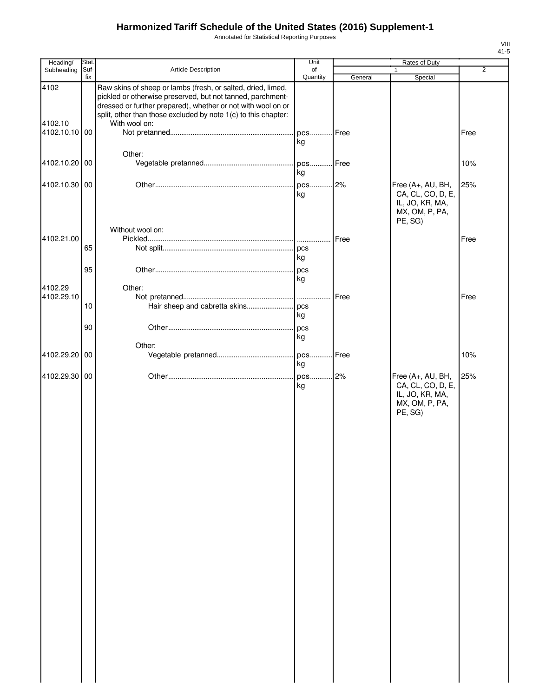Annotated for Statistical Reporting Purposes

| Heading/                         | Stat.       |                                                                                                                                                                                                                                                                               | Unit           |         | Rates of Duty                                                                          |                |
|----------------------------------|-------------|-------------------------------------------------------------------------------------------------------------------------------------------------------------------------------------------------------------------------------------------------------------------------------|----------------|---------|----------------------------------------------------------------------------------------|----------------|
| Subheading                       | Suf-<br>fix | Article Description                                                                                                                                                                                                                                                           | of<br>Quantity | General | 1<br>Special                                                                           | $\overline{2}$ |
| 4102<br>4102.10<br>4102.10.10 00 |             | Raw skins of sheep or lambs (fresh, or salted, dried, limed,<br>pickled or otherwise preserved, but not tanned, parchment-<br>dressed or further prepared), whether or not with wool on or<br>split, other than those excluded by note 1(c) to this chapter:<br>With wool on: | Dcs Free       |         |                                                                                        | Free           |
|                                  |             |                                                                                                                                                                                                                                                                               | kg             |         |                                                                                        |                |
| 4102.10.20 00                    |             | Other:                                                                                                                                                                                                                                                                        | pcs Free<br>kg |         |                                                                                        | 10%            |
| 4102.10.30 00                    |             |                                                                                                                                                                                                                                                                               | kg             |         | Free (A+, AU, BH,<br>CA, CL, CO, D, E,<br>IL, JO, KR, MA,<br>MX, OM, P, PA,<br>PE, SG) | 25%            |
|                                  |             | Without wool on:                                                                                                                                                                                                                                                              |                |         |                                                                                        |                |
| 4102.21.00                       | 65          |                                                                                                                                                                                                                                                                               | kg             | Free    |                                                                                        | Free           |
| 4102.29                          | 95          | Other:                                                                                                                                                                                                                                                                        | $\log$<br>kg   |         |                                                                                        |                |
| 4102.29.10                       | 10          |                                                                                                                                                                                                                                                                               | kg             | Free    |                                                                                        | Free           |
|                                  | 90          | Other:                                                                                                                                                                                                                                                                        | pcs<br>kg      |         |                                                                                        |                |
| 4102.29.20 00                    |             |                                                                                                                                                                                                                                                                               | pcs<br>kg      | Free    |                                                                                        | 10%            |
| 4102.29.30 00                    |             |                                                                                                                                                                                                                                                                               | pcs<br>kg      | 2%      | Free (A+, AU, BH,<br>CA, CL, CO, D, E,<br>IL, JO, KR, MA,<br>MX, OM, P, PA,<br>PE, SG) | 25%            |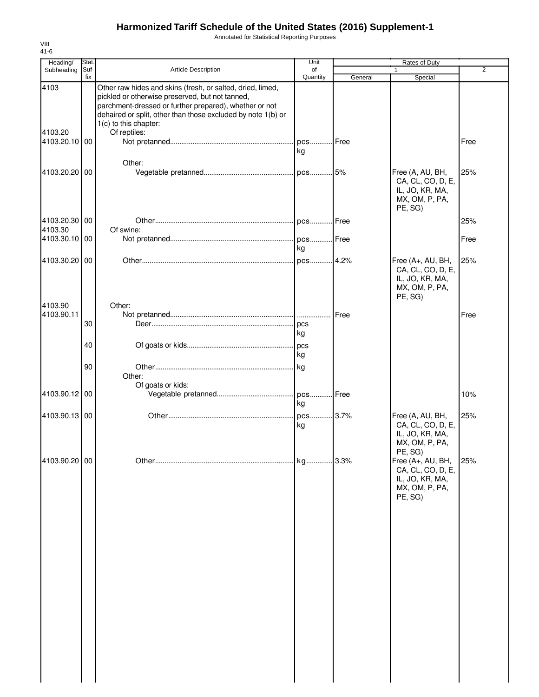Annotated for Statistical Reporting Purposes

| Heading/                 | Stat. |                                                                                                                                                                                                                                                                  | Unit      |           | Rates of Duty                                                                          |                |
|--------------------------|-------|------------------------------------------------------------------------------------------------------------------------------------------------------------------------------------------------------------------------------------------------------------------|-----------|-----------|----------------------------------------------------------------------------------------|----------------|
| Subheading               | Suf-  | <b>Article Description</b>                                                                                                                                                                                                                                       | of        |           |                                                                                        | $\overline{2}$ |
| 4103                     | fix   | Other raw hides and skins (fresh, or salted, dried, limed,<br>pickled or otherwise preserved, but not tanned,<br>parchment-dressed or further prepared), whether or not<br>dehaired or split, other than those excluded by note 1(b) or<br>1(c) to this chapter: | Quantity  | General   | Special                                                                                |                |
| 4103.20<br>4103.20.10 00 |       | Of reptiles:<br>Other:                                                                                                                                                                                                                                           | kg        |           |                                                                                        | Free           |
| 4103.20.20 00            |       |                                                                                                                                                                                                                                                                  |           |           | Free (A, AU, BH,<br>CA, CL, CO, D, E,<br>IL, JO, KR, MA,<br>MX, OM, P, PA,<br>PE, SG)  | 25%            |
| 4103.20.30 00<br>4103.30 |       | Of swine:                                                                                                                                                                                                                                                        |           |           |                                                                                        | 25%            |
| 4103.30.10 00            |       |                                                                                                                                                                                                                                                                  | kg        |           |                                                                                        | Free           |
| 4103.30.20 00            |       |                                                                                                                                                                                                                                                                  |           |           | Free (A+, AU, BH,<br>CA, CL, CO, D, E,<br>IL, JO, KR, MA,<br>MX, OM, P, PA,<br>PE, SG) | 25%            |
| 4103.90<br>4103.90.11    | 30    | Other:                                                                                                                                                                                                                                                           | kg        | Free      |                                                                                        | Free           |
|                          | 40    |                                                                                                                                                                                                                                                                  | pcs<br>kg |           |                                                                                        |                |
|                          | 90    | Other:                                                                                                                                                                                                                                                           | kg        |           |                                                                                        |                |
| 4103.90.12 00            |       | Of goats or kids:                                                                                                                                                                                                                                                | kg        |           |                                                                                        | 10%            |
| 4103.90.13 00            |       |                                                                                                                                                                                                                                                                  | kg        |           | Free (A, AU, BH,<br>CA, CL, CO, D, E,<br>IL, JO, KR, MA,<br>MX, OM, P, PA,<br>PE, SG)  | 25%            |
| 4103.90.20 00            |       |                                                                                                                                                                                                                                                                  | kg        | $.13.3\%$ | Free (A+, AU, BH,<br>CA, CL, CO, D, E,<br>IL, JO, KR, MA,<br>MX, OM, P, PA,<br>PE, SG) | 25%            |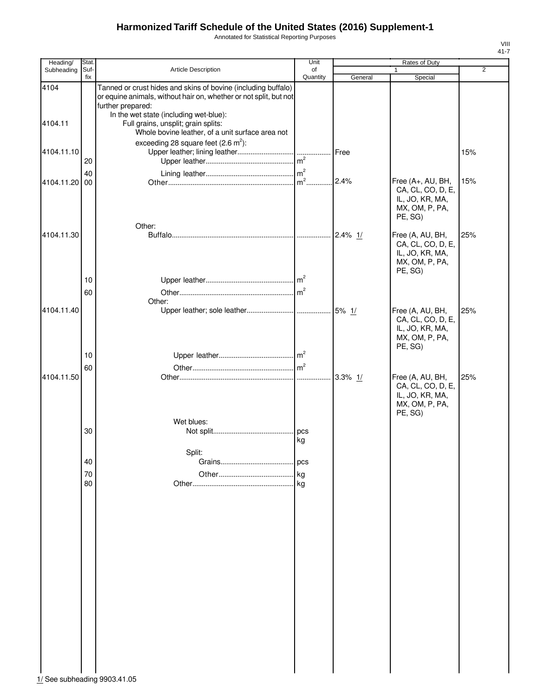Annotated for Statistical Reporting Purposes

| Heading/      | Stat.       |                                                                                                                                                                                                   | Unit           |            | Rates of Duty                                                                          |     |
|---------------|-------------|---------------------------------------------------------------------------------------------------------------------------------------------------------------------------------------------------|----------------|------------|----------------------------------------------------------------------------------------|-----|
| Subheading    | Suf-<br>fix | <b>Article Description</b>                                                                                                                                                                        | of<br>Quantity | General    | $\mathbf{1}$<br>Special                                                                | 2   |
| 4104          |             | Tanned or crust hides and skins of bovine (including buffalo)<br>or equine animals, without hair on, whether or not split, but not<br>further prepared:<br>In the wet state (including wet-blue): |                |            |                                                                                        |     |
| 4104.11       |             | Full grains, unsplit; grain splits:<br>Whole bovine leather, of a unit surface area not<br>exceeding 28 square feet $(2.6 \text{ m}^2)$ :                                                         |                |            |                                                                                        |     |
| 4104.11.10    | 20          |                                                                                                                                                                                                   |                | Free       |                                                                                        | 15% |
| 4104.11.20 00 | 40          |                                                                                                                                                                                                   |                | 2.4%       | Free (A+, AU, BH,<br>CA, CL, CO, D, E,<br>IL, JO, KR, MA,<br>MX, OM, P, PA,<br>PE, SG) | 15% |
| 4104.11.30    |             | Other:                                                                                                                                                                                            |                | $2.4\%$ 1/ | Free (A, AU, BH,<br>CA, CL, CO, D, E,<br>IL, JO, KR, MA,<br>MX, OM, P, PA,<br>PE, SG)  | 25% |
|               | 10<br>60    | Other:                                                                                                                                                                                            |                |            |                                                                                        |     |
| 4104.11.40    |             |                                                                                                                                                                                                   |                |            | Free (A, AU, BH,<br>CA, CL, CO, D, E,<br>IL, JO, KR, MA,<br>MX, OM, P, PA,<br>PE, SG)  | 25% |
|               | 10<br>60    |                                                                                                                                                                                                   |                |            |                                                                                        |     |
| 4104.11.50    |             |                                                                                                                                                                                                   |                | $3.3\%$ 1/ | Free (A, AU, BH,<br>CA, CL, CO, D, E,<br>IL, JO, KR, MA,<br>MX, OM, P, PA,<br>PE, SG)  | 25% |
|               | 30          | Wet blues:                                                                                                                                                                                        | kg             |            |                                                                                        |     |
|               | 40          | Split:                                                                                                                                                                                            | pcs            |            |                                                                                        |     |
|               | 70          |                                                                                                                                                                                                   | kg             |            |                                                                                        |     |
|               | 80          |                                                                                                                                                                                                   |                |            |                                                                                        |     |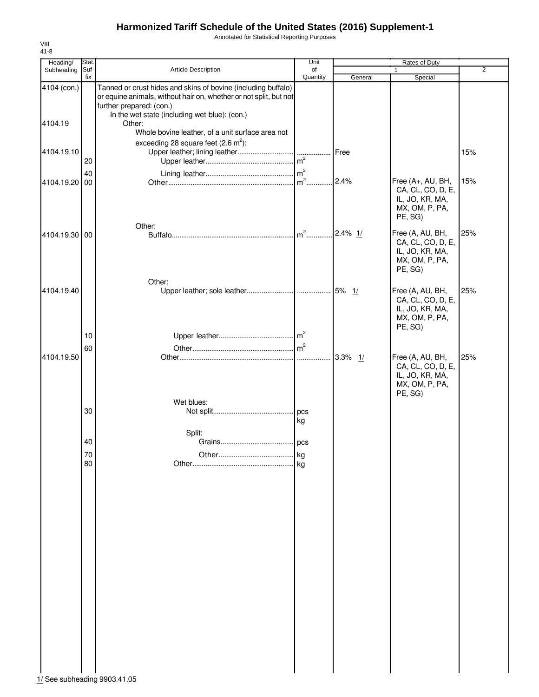Annotated for Statistical Reporting Purposes

| Heading/                     | Stat.       |                                                                                                                                                                                                                 | Unit           |            | Rates of Duty                                                                          |                |
|------------------------------|-------------|-----------------------------------------------------------------------------------------------------------------------------------------------------------------------------------------------------------------|----------------|------------|----------------------------------------------------------------------------------------|----------------|
| Subheading                   | Suf-<br>fix | Article Description                                                                                                                                                                                             | of<br>Quantity | General    | 1<br>Special                                                                           | $\overline{2}$ |
| 4104 (con.)                  |             | Tanned or crust hides and skins of bovine (including buffalo)<br>or equine animals, without hair on, whether or not split, but not<br>further prepared: (con.)<br>In the wet state (including wet-blue): (con.) |                |            |                                                                                        |                |
| 4104.19                      |             | Other:<br>Whole bovine leather, of a unit surface area not<br>exceeding 28 square feet $(2.6 \text{ m}^2)$ :                                                                                                    |                |            |                                                                                        |                |
| 4104.19.10                   | 20          |                                                                                                                                                                                                                 | m <sup>2</sup> | Free       |                                                                                        | 15%            |
| 4104.19.20                   | 40<br>00    |                                                                                                                                                                                                                 | $m^2$          | 2.4%       | Free (A+, AU, BH,<br>CA, CL, CO, D, E,<br>IL, JO, KR, MA,<br>MX, OM, P, PA,<br>PE, SG) | 15%            |
| 4104.19.30 00                |             | Other:                                                                                                                                                                                                          | $m2$           | $2.4\%$ 1/ | Free (A, AU, BH,<br>CA, CL, CO, D, E,<br>IL, JO, KR, MA,<br>MX, OM, P, PA,<br>PE, SG)  | 25%            |
| 4104.19.40                   | 10          | Other:                                                                                                                                                                                                          | m <sup>2</sup> |            | Free (A, AU, BH,<br>CA, CL, CO, D, E,<br>IL, JO, KR, MA,<br>MX, OM, P, PA,<br>PE, SG)  | 25%            |
| 4104.19.50                   | 60          |                                                                                                                                                                                                                 | .              | 3.3% $1/$  | Free (A, AU, BH,<br>CA, CL, CO, D, E,<br>IL, JO, KR, MA,<br>MX, OM, P, PA,<br>PE, SG)  | 25%            |
|                              | 30          | Wet blues:                                                                                                                                                                                                      | pcs<br>kg      |            |                                                                                        |                |
|                              | 40          | Split:                                                                                                                                                                                                          | pcs            |            |                                                                                        |                |
|                              | 70<br>80    |                                                                                                                                                                                                                 | ka             |            |                                                                                        |                |
| 1/ See subheading 9903.41.05 |             |                                                                                                                                                                                                                 |                |            |                                                                                        |                |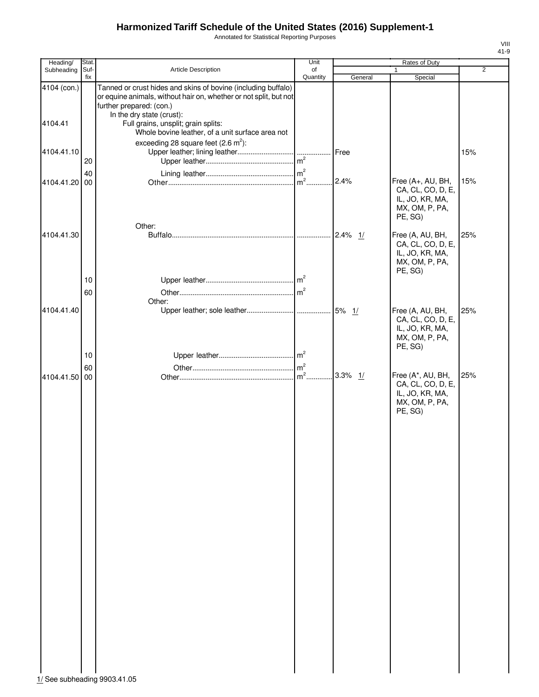Annotated for Statistical Reporting Purposes

| Heading/    | Stat.       |                                                                                                                                                                                             | Unit           |            | Rates of Duty                                                                          |                |
|-------------|-------------|---------------------------------------------------------------------------------------------------------------------------------------------------------------------------------------------|----------------|------------|----------------------------------------------------------------------------------------|----------------|
| Subheading  | Suf-<br>fix | <b>Article Description</b>                                                                                                                                                                  | of<br>Quantity | General    | $\mathbf{1}$<br>Special                                                                | $\overline{2}$ |
| 4104 (con.) |             | Tanned or crust hides and skins of bovine (including buffalo)<br>or equine animals, without hair on, whether or not split, but not<br>further prepared: (con.)<br>In the dry state (crust): |                |            |                                                                                        |                |
| 4104.41     |             | Full grains, unsplit; grain splits:<br>Whole bovine leather, of a unit surface area not<br>exceeding 28 square feet $(2.6 \text{ m}^2)$ :                                                   |                |            |                                                                                        |                |
| 4104.41.10  | 20          |                                                                                                                                                                                             |                | Free       |                                                                                        | 15%            |
| 4104.41.20  | 40<br>00    |                                                                                                                                                                                             |                | 2.4%       | Free (A+, AU, BH,<br>CA, CL, CO, D, E,<br>IL, JO, KR, MA,<br>MX, OM, P, PA,<br>PE, SG) | 15%            |
| 4104.41.30  |             | Other:                                                                                                                                                                                      |                | $2.4\%$ 1/ | Free (A, AU, BH,<br>CA, CL, CO, D, E,<br>IL, JO, KR, MA,<br>MX, OM, P, PA,<br>PE, SG)  | 25%            |
|             | 10<br>60    | Other:                                                                                                                                                                                      |                |            |                                                                                        |                |
| 4104.41.40  | 10          |                                                                                                                                                                                             |                |            | Free (A, AU, BH,<br>CA, CL, CO, D, E,<br>IL, JO, KR, MA,<br>MX, OM, P, PA,<br>PE, SG)  | 25%            |
| 4104.41.50  | 60<br>00    |                                                                                                                                                                                             |                | 3.3%<br>1/ | Free (A*, AU, BH,<br>CA, CL, CO, D, E,<br>IL, JO, KR, MA,<br>MX, OM, P, PA,<br>PE, SG) | 25%            |
|             |             |                                                                                                                                                                                             |                |            |                                                                                        |                |
|             |             |                                                                                                                                                                                             |                |            |                                                                                        |                |
|             |             |                                                                                                                                                                                             |                |            |                                                                                        |                |
|             |             |                                                                                                                                                                                             |                |            |                                                                                        |                |
|             |             |                                                                                                                                                                                             |                |            |                                                                                        |                |
|             |             |                                                                                                                                                                                             |                |            |                                                                                        |                |
|             |             |                                                                                                                                                                                             |                |            |                                                                                        |                |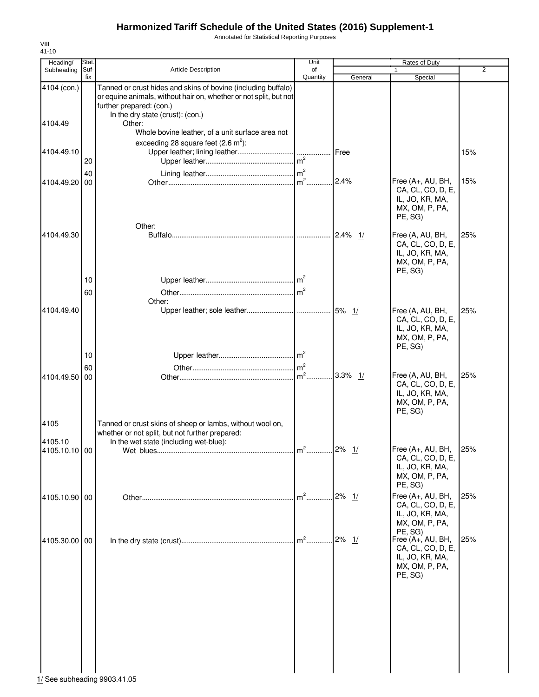Annotated for Statistical Reporting Purposes

| Heading/        | Stat.       |                                                                                                                                                                                                    | Unit           |               | Rates of Duty                                                                                     |                |
|-----------------|-------------|----------------------------------------------------------------------------------------------------------------------------------------------------------------------------------------------------|----------------|---------------|---------------------------------------------------------------------------------------------------|----------------|
| Subheading      | Suf-<br>fix | <b>Article Description</b>                                                                                                                                                                         | of<br>Quantity | General       | 1<br>Special                                                                                      | $\overline{2}$ |
| 4104 (con.)     |             | Tanned or crust hides and skins of bovine (including buffalo)<br>or equine animals, without hair on, whether or not split, but not<br>further prepared: (con.)<br>In the dry state (crust): (con.) |                |               |                                                                                                   |                |
| 4104.49         |             | Other:<br>Whole bovine leather, of a unit surface area not                                                                                                                                         |                |               |                                                                                                   |                |
| 4104.49.10      | 20          | exceeding 28 square feet $(2.6 \text{ m}^2)$ :                                                                                                                                                     |                | <b>I</b> Free |                                                                                                   | 15%            |
| 4104.49.20      | 40<br>00    |                                                                                                                                                                                                    |                | 2.4%          | Free (A+, AU, BH,<br>CA, CL, CO, D, E,<br>IL, JO, KR, MA,<br>MX, OM, P, PA,<br>PE, SG)            | 15%            |
| 4104.49.30      |             | Other:                                                                                                                                                                                             |                |               | Free (A, AU, BH,<br>CA, CL, CO, D, E,<br>IL, JO, KR, MA,<br>MX, OM, P, PA,<br>PE, SG)             | 25%            |
|                 | 10<br>60    | Other:                                                                                                                                                                                             |                |               |                                                                                                   |                |
| 4104.49.40      | 10          |                                                                                                                                                                                                    |                |               | Free (A, AU, BH,<br>CA, CL, CO, D, E,<br>IL, JO, KR, MA,<br>MX, OM, P, PA,<br>PE, SG)             | 25%            |
| 4104.49.50      | 60<br>00    |                                                                                                                                                                                                    |                | $3.3\%$ 1/    | Free (A, AU, BH,<br>CA, CL, CO, D, E,<br>IL, JO, KR, MA,<br>MX, OM, P, PA,<br>PE, SG)             | 25%            |
| 4105<br>4105.10 |             | Tanned or crust skins of sheep or lambs, without wool on,<br>whether or not split, but not further prepared:<br>In the wet state (including wet-blue):                                             |                |               |                                                                                                   |                |
| 4105.10.10 00   |             | Wet blues                                                                                                                                                                                          | $m2$ .         | $2\%$ 1/      | Free (A+, AU, BH, 25%<br>CA, CL, CO, D, E,<br>IL, JO, KR, MA,<br>MX, OM, P, PA,<br>PE, SG)        |                |
| 4105.10.90 00   |             |                                                                                                                                                                                                    | $m2$ .         | $2\%$ 1/      | Free (A+, AU, BH,<br>CA, CL, CO, D, E,<br>IL, JO, KR, MA,<br>MX, OM, P, PA,                       | 25%            |
| 4105.30.00 00   |             |                                                                                                                                                                                                    | $m2$           | $2\%$ 1/      | PE, SG)<br>Free (A+, AU, BH,<br>CA, CL, CO, D, E,<br>IL, JO, KR, MA,<br>MX, OM, P, PA,<br>PE, SG) | 25%            |
|                 |             |                                                                                                                                                                                                    |                |               |                                                                                                   |                |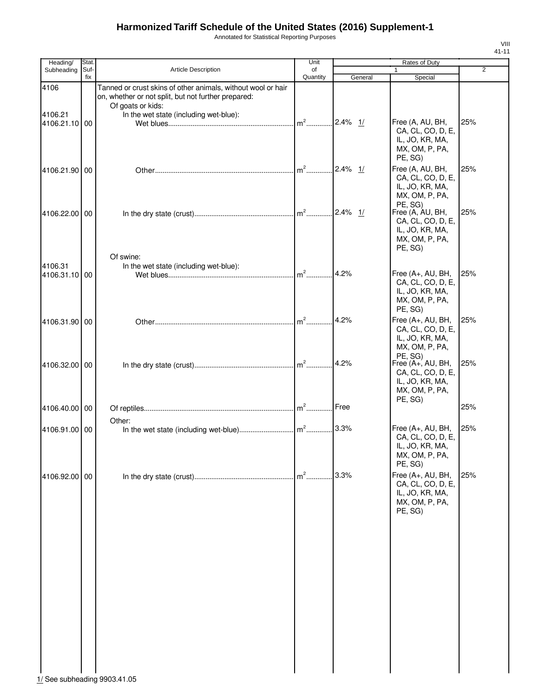Annotated for Statistical Reporting Purposes

| Heading/                 | Stat.       |                                                                                                                                                                                    | Unit           |            | Rates of Duty                                                                          |                |
|--------------------------|-------------|------------------------------------------------------------------------------------------------------------------------------------------------------------------------------------|----------------|------------|----------------------------------------------------------------------------------------|----------------|
| Subheading               | Suf-<br>fix | <b>Article Description</b>                                                                                                                                                         | of<br>Quantity | General    | 1<br>Special                                                                           | $\overline{2}$ |
| 4106<br>4106.21          |             | Tanned or crust skins of other animals, without wool or hair<br>on, whether or not split, but not further prepared:<br>Of goats or kids:<br>In the wet state (including wet-blue): |                |            |                                                                                        |                |
| 4106.21.10               | 00          |                                                                                                                                                                                    | $m2$           | $2.4\%$ 1/ | Free (A, AU, BH,<br>CA, CL, CO, D, E,<br>IL, JO, KR, MA,<br>MX, OM, P, PA,<br>PE, SG)  | 25%            |
| 4106.21.90 00            |             |                                                                                                                                                                                    | $\mathsf{m}^2$ | $2.4\%$ 1/ | Free (A, AU, BH,<br>CA, CL, CO, D, E,<br>IL, JO, KR, MA,<br>MX, OM, P, PA,<br>PE, SG)  | 25%            |
| 4106.22.00 00            |             |                                                                                                                                                                                    |                |            | Free (A, AU, BH,<br>CA, CL, CO, D, E,<br>IL, JO, KR, MA,<br>MX, OM, P, PA,<br>PE, SG)  | 25%            |
|                          |             | Of swine:                                                                                                                                                                          |                |            |                                                                                        |                |
| 4106.31<br>4106.31.10 00 |             | In the wet state (including wet-blue):                                                                                                                                             | $m^2$          | 4.2%       | Free (A+, AU, BH,<br>CA, CL, CO, D, E,<br>IL, JO, KR, MA,<br>MX, OM, P, PA,<br>PE, SG) | 25%            |
| 4106.31.90 00            |             |                                                                                                                                                                                    | $m2$           | 4.2%       | Free (A+, AU, BH,<br>CA, CL, CO, D, E,<br>IL, JO, KR, MA,<br>MX, OM, P, PA,<br>PE, SG) | 25%            |
| 4106.32.00 00            |             |                                                                                                                                                                                    |                | 4.2%       | Free (A+, AU, BH,<br>CA, CL, CO, D, E,<br>IL, JO, KR, MA,<br>MX, OM, P, PA,<br>PE, SG) | 25%            |
| 4106.40.00 00            |             |                                                                                                                                                                                    |                | Free       |                                                                                        | 25%            |
|                          |             | Other:                                                                                                                                                                             |                |            |                                                                                        |                |
| 4106.91.00 00            |             |                                                                                                                                                                                    |                | 3.3%       | Free (A+, AU, BH,<br>CA, CL, CO, D, E,<br>IL, JO, KR, MA,<br>MX, OM, P, PA,<br>PE, SG) | 25%            |
| 4106.92.00 00            |             |                                                                                                                                                                                    |                | 3.3%       | Free (A+, AU, BH,<br>CA, CL, CO, D, E,<br>IL, JO, KR, MA,<br>MX, OM, P, PA,<br>PE, SG) | 25%            |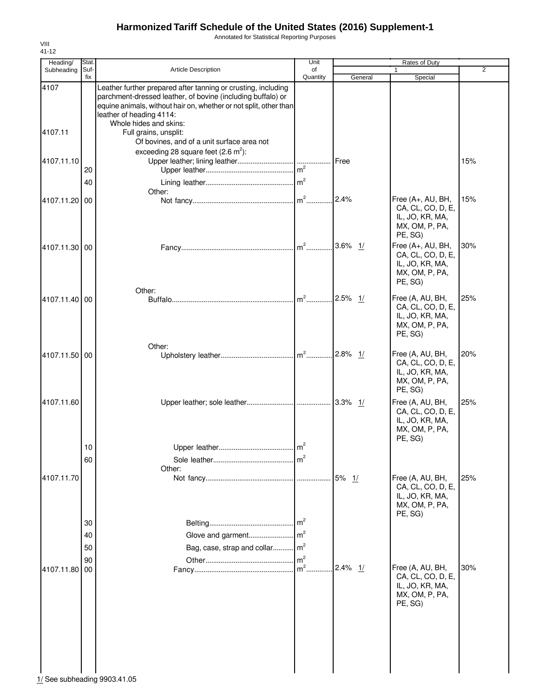Annotated for Statistical Reporting Purposes

| $\overline{2}$<br>15%                                                              |
|------------------------------------------------------------------------------------|
|                                                                                    |
|                                                                                    |
|                                                                                    |
|                                                                                    |
| Free (A+, AU, BH,<br>15%<br>CA, CL, CO, D, E,<br>IL, JO, KR, MA,<br>MX, OM, P, PA, |
| Free (A+, AU, BH,<br>30%<br>CA, CL, CO, D, E,<br>IL, JO, KR, MA,<br>MX, OM, P, PA, |
| 25%<br>Free (A, AU, BH,<br>CA, CL, CO, D, E,<br>IL, JO, KR, MA,<br>MX, OM, P, PA,  |
| 20%<br>Free (A, AU, BH,<br>CA, CL, CO, D, E,<br>IL, JO, KR, MA,<br>MX, OM, P, PA,  |
| 25%<br>Free (A, AU, BH,<br>CA, CL, CO, D, E,<br>IL, JO, KR, MA,<br>MX, OM, P, PA,  |
|                                                                                    |
| 25%<br>Free (A, AU, BH,<br>CA, CL, CO, D, E,<br>IL, JO, KR, MA,<br>MX, OM, P, PA,  |
|                                                                                    |
| 30%<br>Free (A, AU, BH,<br>CA, CL, CO, D, E,<br>IL, JO, KR, MA,<br>MX, OM, P, PA,  |
|                                                                                    |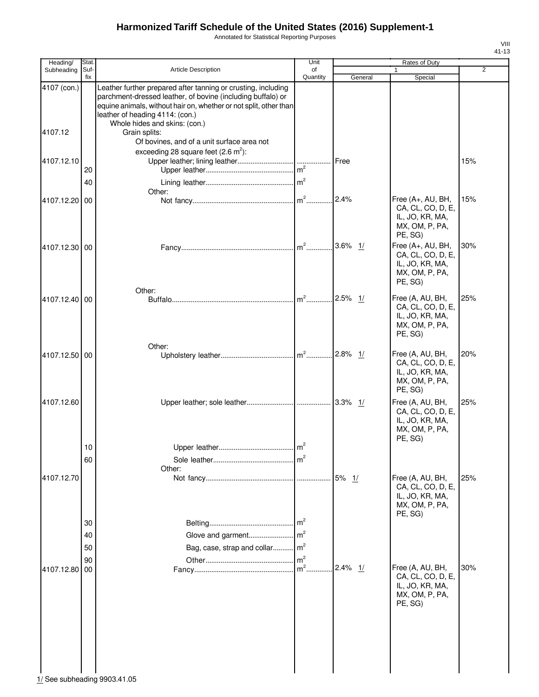Annotated for Statistical Reporting Purposes

| Heading/      | Stat.       |                                                                                                                                                                                                                                                                       | Unit                              |              | Rates of Duty                                                                          |     |
|---------------|-------------|-----------------------------------------------------------------------------------------------------------------------------------------------------------------------------------------------------------------------------------------------------------------------|-----------------------------------|--------------|----------------------------------------------------------------------------------------|-----|
| Subheading    | Suf-<br>fix | <b>Article Description</b>                                                                                                                                                                                                                                            | of<br>Quantity                    | General      | $\mathbf{1}$<br>Special                                                                | 2   |
| 4107 (con.)   |             | Leather further prepared after tanning or crusting, including<br>parchment-dressed leather, of bovine (including buffalo) or<br>equine animals, without hair on, whether or not split, other than<br>leather of heading 4114: (con.)<br>Whole hides and skins: (con.) |                                   |              |                                                                                        |     |
| 4107.12       |             | Grain splits:<br>Of bovines, and of a unit surface area not<br>exceeding 28 square feet $(2.6 \text{ m}^2)$ :                                                                                                                                                         |                                   |              |                                                                                        |     |
| 4107.12.10    | 20          |                                                                                                                                                                                                                                                                       |                                   | <b>IFree</b> |                                                                                        | 15% |
|               | 40          | Other:                                                                                                                                                                                                                                                                |                                   |              |                                                                                        |     |
| 4107.12.20 00 |             |                                                                                                                                                                                                                                                                       |                                   | 2.4%         | Free (A+, AU, BH,<br>CA, CL, CO, D, E,<br>IL, JO, KR, MA,<br>MX, OM, P, PA,<br>PE, SG) | 15% |
| 4107.12.30 00 |             |                                                                                                                                                                                                                                                                       |                                   | $3.6\%$ 1/   | Free (A+, AU, BH,<br>CA, CL, CO, D, E,<br>IL, JO, KR, MA,<br>MX, OM, P, PA,<br>PE, SG) | 30% |
| 4107.12.40 00 |             | Other:                                                                                                                                                                                                                                                                | $m2$                              | $2.5\%$ 1/   | Free (A, AU, BH,<br>CA, CL, CO, D, E,<br>IL, JO, KR, MA,<br>MX, OM, P, PA,<br>PE, SG)  | 25% |
| 4107.12.50 00 |             | Other:                                                                                                                                                                                                                                                                |                                   |              | Free (A, AU, BH,<br>CA, CL, CO, D, E,<br>IL, JO, KR, MA,<br>MX, OM, P, PA,<br>PE, SG)  | 20% |
| 4107.12.60    |             |                                                                                                                                                                                                                                                                       |                                   |              | Free (A, AU, BH,<br>CA, CL, CO, D, E,<br>IL, JO, KR, MA,<br>MX, OM, P, PA,<br>PE, SG)  | 25% |
|               | 10          |                                                                                                                                                                                                                                                                       | $\mathsf{Im}^2$<br>m <sup>2</sup> |              |                                                                                        |     |
|               | 60          | Other:                                                                                                                                                                                                                                                                |                                   |              |                                                                                        |     |
| 4107.12.70    |             |                                                                                                                                                                                                                                                                       |                                   | 5% 1/        | Free (A, AU, BH,<br>CA, CL, CO, D, E,<br>IL, JO, KR, MA,<br>MX, OM, P, PA,<br>PE, SG)  | 25% |
|               | 30<br>40    |                                                                                                                                                                                                                                                                       | $\mathsf{Im}^2$                   |              |                                                                                        |     |
|               | 50          | Bag, case, strap and collar m <sup>2</sup>                                                                                                                                                                                                                            |                                   |              |                                                                                        |     |
| 4107.12.80    | 90<br>00    |                                                                                                                                                                                                                                                                       | $\mathsf{Im}^2$<br>$m2$ .         | $2.4\%$ 1/   | Free (A, AU, BH,<br>CA, CL, CO, D, E,<br>IL, JO, KR, MA,<br>MX, OM, P, PA,<br>PE, SG)  | 30% |
|               |             |                                                                                                                                                                                                                                                                       |                                   |              |                                                                                        |     |

| | |<br><u>1/</u> See subheading 9903.41.05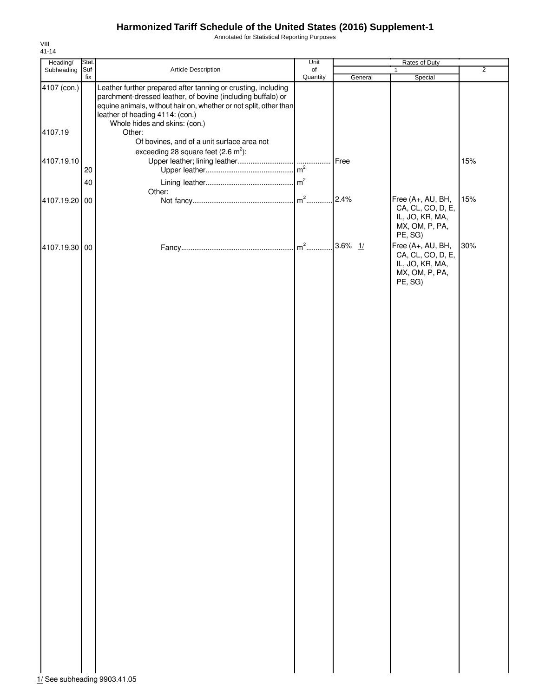Annotated for Statistical Reporting Purposes

| Heading/      | Stat.       |                                                                                                                                                                                                                                                                       | Unit           | Rates of Duty |                                                                                        |                |  |
|---------------|-------------|-----------------------------------------------------------------------------------------------------------------------------------------------------------------------------------------------------------------------------------------------------------------------|----------------|---------------|----------------------------------------------------------------------------------------|----------------|--|
| Subheading    | Suf-<br>fix | Article Description                                                                                                                                                                                                                                                   | of<br>Quantity | General       | 1<br>Special                                                                           | $\overline{2}$ |  |
| 4107 (con.)   |             | Leather further prepared after tanning or crusting, including<br>parchment-dressed leather, of bovine (including buffalo) or<br>equine animals, without hair on, whether or not split, other than<br>leather of heading 4114: (con.)<br>Whole hides and skins: (con.) |                |               |                                                                                        |                |  |
| 4107.19       |             | Other:<br>Of bovines, and of a unit surface area not                                                                                                                                                                                                                  |                |               |                                                                                        |                |  |
| 4107.19.10    |             | exceeding 28 square feet $(2.6 \text{ m}^2)$ :                                                                                                                                                                                                                        |                | Free          |                                                                                        | 15%            |  |
|               | 20<br>40    |                                                                                                                                                                                                                                                                       |                |               |                                                                                        |                |  |
| 4107.19.20 00 |             | Other:                                                                                                                                                                                                                                                                |                | 2.4%          | Free (A+, AU, BH,<br>CA, CL, CO, D, E,<br>IL, JO, KR, MA,<br>MX, OM, P, PA,<br>PE, SG) | 15%            |  |
| 4107.19.30 00 |             |                                                                                                                                                                                                                                                                       |                | $3.6\%$ 1/    | Free (A+, AU, BH,<br>CA, CL, CO, D, E,<br>IL, JO, KR, MA,<br>MX, OM, P, PA,<br>PE, SG) | 30%            |  |
|               |             |                                                                                                                                                                                                                                                                       |                |               |                                                                                        |                |  |
|               |             |                                                                                                                                                                                                                                                                       |                |               |                                                                                        |                |  |
|               |             |                                                                                                                                                                                                                                                                       |                |               |                                                                                        |                |  |
|               |             |                                                                                                                                                                                                                                                                       |                |               |                                                                                        |                |  |
|               |             |                                                                                                                                                                                                                                                                       |                |               |                                                                                        |                |  |
|               |             |                                                                                                                                                                                                                                                                       |                |               |                                                                                        |                |  |
|               |             |                                                                                                                                                                                                                                                                       |                |               |                                                                                        |                |  |
|               |             |                                                                                                                                                                                                                                                                       |                |               |                                                                                        |                |  |
|               |             |                                                                                                                                                                                                                                                                       |                |               |                                                                                        |                |  |
|               |             |                                                                                                                                                                                                                                                                       |                |               |                                                                                        |                |  |
|               |             |                                                                                                                                                                                                                                                                       |                |               |                                                                                        |                |  |
|               |             |                                                                                                                                                                                                                                                                       |                |               |                                                                                        |                |  |
|               |             |                                                                                                                                                                                                                                                                       |                |               |                                                                                        |                |  |
|               |             |                                                                                                                                                                                                                                                                       |                |               |                                                                                        |                |  |
|               |             |                                                                                                                                                                                                                                                                       |                |               |                                                                                        |                |  |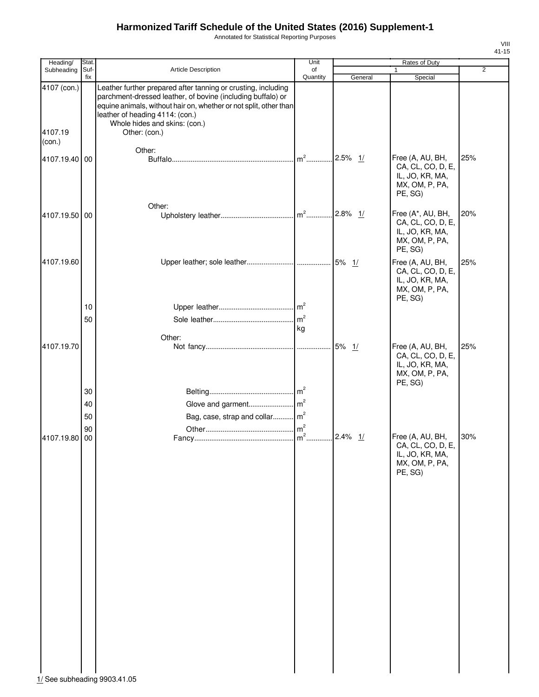Annotated for Statistical Reporting Purposes

VIII 41-15

| Heading/                         | Stat.       |                                                                                                                                                                                                                                                                                        | Unit            | Rates of Duty |                                                                                        |                |  |
|----------------------------------|-------------|----------------------------------------------------------------------------------------------------------------------------------------------------------------------------------------------------------------------------------------------------------------------------------------|-----------------|---------------|----------------------------------------------------------------------------------------|----------------|--|
| Subheading                       | Suf-<br>fix | Article Description                                                                                                                                                                                                                                                                    | of<br>Quantity  | General       | Special                                                                                | $\overline{2}$ |  |
| 4107 (con.)<br>4107.19<br>(con.) |             | Leather further prepared after tanning or crusting, including<br>parchment-dressed leather, of bovine (including buffalo) or<br>equine animals, without hair on, whether or not split, other than<br>leather of heading 4114: (con.)<br>Whole hides and skins: (con.)<br>Other: (con.) |                 |               |                                                                                        |                |  |
| 4107.19.40 00                    |             | Other:                                                                                                                                                                                                                                                                                 | $\mathsf{Im}^2$ | $.2.5\%$ 1/   | Free (A, AU, BH,<br>CA, CL, CO, D, E,<br>IL, JO, KR, MA,<br>MX, OM, P, PA,<br>PE, SG)  | 25%            |  |
| 4107.19.50 00                    |             | Other:                                                                                                                                                                                                                                                                                 |                 |               | Free (A*, AU, BH,<br>CA, CL, CO, D, E,<br>IL, JO, KR, MA,<br>MX, OM, P, PA,<br>PE, SG) | 20%            |  |
| 4107.19.60                       | 10          |                                                                                                                                                                                                                                                                                        |                 |               | Free (A, AU, BH,<br>CA, CL, CO, D, E,<br>IL, JO, KR, MA,<br>MX, OM, P, PA,<br>PE, SG)  | 25%            |  |
|                                  | 50          |                                                                                                                                                                                                                                                                                        | m <sup>2</sup>  |               |                                                                                        |                |  |
|                                  |             | Other:                                                                                                                                                                                                                                                                                 | kg              |               |                                                                                        |                |  |
| 4107.19.70                       |             |                                                                                                                                                                                                                                                                                        |                 |               | Free (A, AU, BH,<br>CA, CL, CO, D, E,<br>IL, JO, KR, MA,<br>MX, OM, P, PA,<br>PE, SG)  | 25%            |  |
|                                  | 30          |                                                                                                                                                                                                                                                                                        |                 |               |                                                                                        |                |  |
|                                  | 40          |                                                                                                                                                                                                                                                                                        |                 |               |                                                                                        |                |  |
|                                  | 50          | Bag, case, strap and collar m <sup>2</sup>                                                                                                                                                                                                                                             |                 |               |                                                                                        |                |  |
|                                  | 90          |                                                                                                                                                                                                                                                                                        |                 |               |                                                                                        |                |  |
| 4107.19.80                       | 00          |                                                                                                                                                                                                                                                                                        | $m2$            | $2.4\%$ 1/    | Free (A, AU, BH,<br>CA, CL, CO, D, E,<br>IL, JO, KR, MA,<br>MX, OM, P, PA,<br>PE, SG)  | 30%            |  |

1/ See subheading 9903.41.05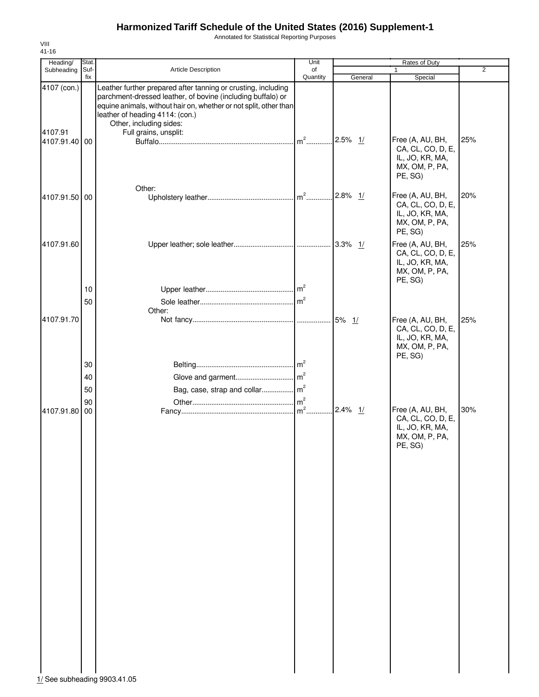Annotated for Statistical Reporting Purposes

| Heading/              | Stat.       |                                                                                                                                                                                                                                                                 | Unit           |            | Rates of Duty                                                                         |                |
|-----------------------|-------------|-----------------------------------------------------------------------------------------------------------------------------------------------------------------------------------------------------------------------------------------------------------------|----------------|------------|---------------------------------------------------------------------------------------|----------------|
| Subheading            | Suf-<br>fix | Article Description                                                                                                                                                                                                                                             | of<br>Quantity | General    | 1<br>Special                                                                          | $\overline{2}$ |
| 4107 (con.)           |             | Leather further prepared after tanning or crusting, including<br>parchment-dressed leather, of bovine (including buffalo) or<br>equine animals, without hair on, whether or not split, other than<br>leather of heading 4114: (con.)<br>Other, including sides: |                |            |                                                                                       |                |
| 4107.91<br>4107.91.40 | 00          | Full grains, unsplit:                                                                                                                                                                                                                                           |                | $2.5\%$ 1/ | Free (A, AU, BH,<br>CA, CL, CO, D, E,<br>IL, JO, KR, MA,<br>MX, OM, P, PA,<br>PE, SG) | 25%            |
| 4107.91.50 00         |             | Other:                                                                                                                                                                                                                                                          |                | 2.8%<br>1/ | Free (A, AU, BH,<br>CA, CL, CO, D, E,<br>IL, JO, KR, MA,<br>MX, OM, P, PA,<br>PE, SG) | 20%            |
| 4107.91.60            | 10          |                                                                                                                                                                                                                                                                 |                |            | Free (A, AU, BH,<br>CA, CL, CO, D, E,<br>IL, JO, KR, MA,<br>MX, OM, P, PA,<br>PE, SG) | 25%            |
|                       | 50          |                                                                                                                                                                                                                                                                 |                |            |                                                                                       |                |
| 4107.91.70            |             | Other:                                                                                                                                                                                                                                                          |                |            | Free (A, AU, BH,<br>CA, CL, CO, D, E,<br>IL, JO, KR, MA,<br>MX, OM, P, PA,<br>PE, SG) | 25%            |
|                       | 30          |                                                                                                                                                                                                                                                                 |                |            |                                                                                       |                |
|                       | 40          |                                                                                                                                                                                                                                                                 |                |            |                                                                                       |                |
|                       | 50          |                                                                                                                                                                                                                                                                 |                |            |                                                                                       |                |
| 4107.91.80            | 90<br>00    |                                                                                                                                                                                                                                                                 |                | $2.4\%$ 1/ | Free (A, AU, BH,<br>CA, CL, CO, D, E,<br>IL, JO, KR, MA,                              | 30%            |
|                       |             |                                                                                                                                                                                                                                                                 |                |            | MX, OM, P, PA,<br>PE, SG)                                                             |                |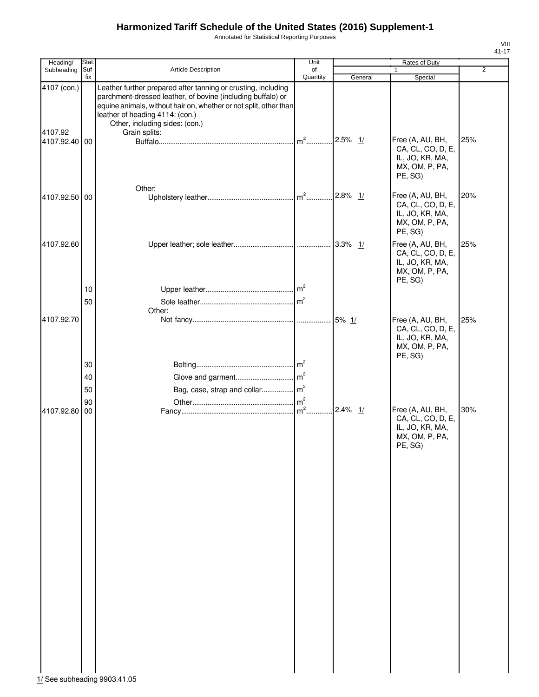Annotated for Statistical Reporting Purposes

| Heading/                 | Stat.       |                                                                                                                                                                                                                                                                        | Unit            | Rates of Duty |                                                                                       |                |  |
|--------------------------|-------------|------------------------------------------------------------------------------------------------------------------------------------------------------------------------------------------------------------------------------------------------------------------------|-----------------|---------------|---------------------------------------------------------------------------------------|----------------|--|
| Subheading               | Suf-<br>fix | Article Description                                                                                                                                                                                                                                                    | of<br>Quantity  | General       | $\mathbf{1}$<br>Special                                                               | $\overline{2}$ |  |
| 4107 (con.)              |             | Leather further prepared after tanning or crusting, including<br>parchment-dressed leather, of bovine (including buffalo) or<br>equine animals, without hair on, whether or not split, other than<br>leather of heading 4114: (con.)<br>Other, including sides: (con.) |                 |               |                                                                                       |                |  |
| 4107.92<br>4107.92.40 00 |             | Grain splits:                                                                                                                                                                                                                                                          | $m2$            | 2.5% $1/$     | Free (A, AU, BH,<br>CA, CL, CO, D, E,<br>IL, JO, KR, MA,<br>MX, OM, P, PA,<br>PE, SG) | 25%            |  |
| 4107.92.50 00            |             | Other:                                                                                                                                                                                                                                                                 |                 | $2.8\%$ 1/    | Free (A, AU, BH,<br>CA, CL, CO, D, E,<br>IL, JO, KR, MA,<br>MX, OM, P, PA,<br>PE, SG) | 20%            |  |
| 4107.92.60               | 10          |                                                                                                                                                                                                                                                                        |                 |               | Free (A, AU, BH,<br>CA, CL, CO, D, E,<br>IL, JO, KR, MA,<br>MX, OM, P, PA,<br>PE, SG) | 25%            |  |
|                          | 50          |                                                                                                                                                                                                                                                                        | m <sup>2</sup>  |               |                                                                                       |                |  |
| 4107.92.70               |             | Other:                                                                                                                                                                                                                                                                 |                 | $5\%$ 1/      | Free (A, AU, BH,<br>CA, CL, CO, D, E,<br>IL, JO, KR, MA,<br>MX, OM, P, PA,<br>PE, SG) | 25%            |  |
|                          | 30          |                                                                                                                                                                                                                                                                        |                 |               |                                                                                       |                |  |
|                          | 40          |                                                                                                                                                                                                                                                                        |                 |               |                                                                                       |                |  |
|                          | 50          |                                                                                                                                                                                                                                                                        |                 |               |                                                                                       |                |  |
| 4107.92.80               | 90<br>00    |                                                                                                                                                                                                                                                                        | $\mathsf{Im}^2$ | 2.4% $1/$     | Free (A, AU, BH,<br>CA, CL, CO, D, E,<br>IL, JO, KR, MA,<br>MX, OM, P, PA,<br>PE, SG) | 30%            |  |
|                          |             |                                                                                                                                                                                                                                                                        |                 |               |                                                                                       |                |  |
|                          |             |                                                                                                                                                                                                                                                                        |                 |               |                                                                                       |                |  |
|                          |             |                                                                                                                                                                                                                                                                        |                 |               |                                                                                       |                |  |
|                          |             |                                                                                                                                                                                                                                                                        |                 |               |                                                                                       |                |  |
|                          |             |                                                                                                                                                                                                                                                                        |                 |               |                                                                                       |                |  |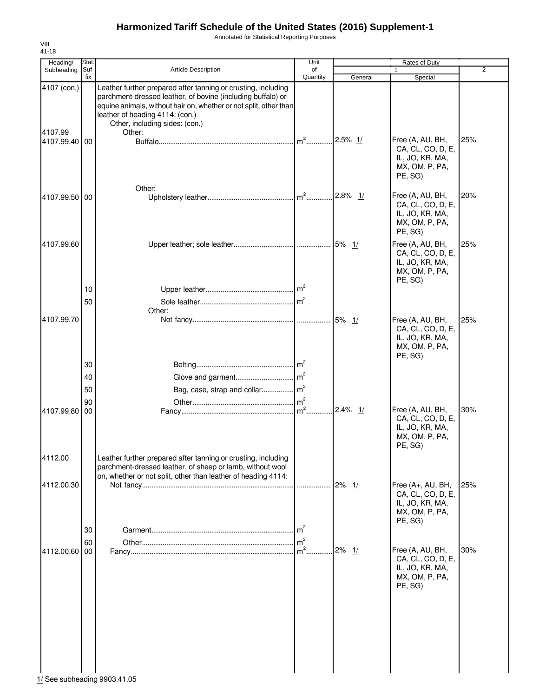Annotated for Statistical Reporting Purposes

| Heading/               | Stat.       |                                                                                                                                                                                                                                                                                  | Unit                              |            | Rates of Duty                                                                          |     |
|------------------------|-------------|----------------------------------------------------------------------------------------------------------------------------------------------------------------------------------------------------------------------------------------------------------------------------------|-----------------------------------|------------|----------------------------------------------------------------------------------------|-----|
| Subheading             | Suf-<br>fix | <b>Article Description</b>                                                                                                                                                                                                                                                       | of<br>Quantity                    | General    | 1<br>Special                                                                           | 2   |
| 4107 (con.)<br>4107.99 |             | Leather further prepared after tanning or crusting, including<br>parchment-dressed leather, of bovine (including buffalo) or<br>equine animals, without hair on, whether or not split, other than<br>leather of heading 4114: (con.)<br>Other, including sides: (con.)<br>Other: |                                   |            |                                                                                        |     |
| 4107.99.40 00          |             |                                                                                                                                                                                                                                                                                  | $m^2$                             | $2.5\%$ 1/ | Free (A, AU, BH,<br>CA, CL, CO, D, E,<br>IL, JO, KR, MA,<br>MX, OM, P, PA,<br>PE, SG)  | 25% |
| 4107.99.50 00          |             | Other:                                                                                                                                                                                                                                                                           |                                   | 2.8%<br>1/ | Free (A, AU, BH,<br>CA, CL, CO, D, E,<br>IL, JO, KR, MA,<br>MX, OM, P, PA,<br>PE, SG)  | 20% |
| 4107.99.60             | 10          |                                                                                                                                                                                                                                                                                  |                                   |            | Free (A, AU, BH,<br>CA, CL, CO, D, E,<br>IL, JO, KR, MA,<br>MX, OM, P, PA,<br>PE, SG)  | 25% |
|                        | 50          |                                                                                                                                                                                                                                                                                  |                                   |            |                                                                                        |     |
| 4107.99.70             |             | Other:                                                                                                                                                                                                                                                                           |                                   |            | Free (A, AU, BH,<br>CA, CL, CO, D, E,<br>IL, JO, KR, MA,<br>MX, OM, P, PA,             | 25% |
|                        | 30          |                                                                                                                                                                                                                                                                                  |                                   |            | PE, SG)                                                                                |     |
|                        | 40          |                                                                                                                                                                                                                                                                                  |                                   |            |                                                                                        |     |
|                        | 50          |                                                                                                                                                                                                                                                                                  |                                   |            |                                                                                        |     |
|                        | 90          |                                                                                                                                                                                                                                                                                  | m <sup>2</sup>                    |            |                                                                                        |     |
| 4107.99.80 00          |             |                                                                                                                                                                                                                                                                                  | $m2$ .                            | $2.4\%$ 1/ | Free (A, AU, BH,<br>CA, CL, CO, D, E,<br>IL, JO, KR, MA,<br>MX, OM, P, PA,<br>PE, SG)  | 30% |
| 4112.00                |             | Leather further prepared after tanning or crusting, including                                                                                                                                                                                                                    |                                   |            |                                                                                        |     |
|                        |             | parchment-dressed leather, of sheep or lamb, without wool<br>on, whether or not split, other than leather of heading 4114:                                                                                                                                                       |                                   |            |                                                                                        |     |
| 4112.00.30             |             |                                                                                                                                                                                                                                                                                  |                                   | $2\%$ 1/   | Free (A+, AU, BH,<br>CA, CL, CO, D, E,<br>IL, JO, KR, MA,<br>MX, OM, P, PA,<br>PE, SG) | 25% |
|                        | 30          |                                                                                                                                                                                                                                                                                  | m <sup>2</sup><br>$\mathsf{Im}^2$ |            |                                                                                        |     |
| 4112.00.60 00          | 60          |                                                                                                                                                                                                                                                                                  | $m^2$                             | $2\%$ 1/   | Free (A, AU, BH,<br>CA, CL, CO, D, E,<br>IL, JO, KR, MA,<br>MX, OM, P, PA,<br>PE, SG)  | 30% |
|                        |             |                                                                                                                                                                                                                                                                                  |                                   |            |                                                                                        |     |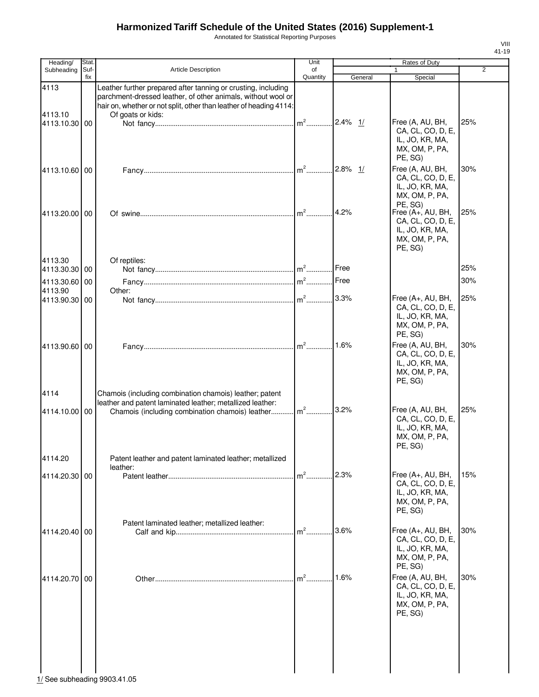Annotated for Statistical Reporting Purposes

| Heading/                 | Stat.       |                                                                                                                                                                                                     | Unit           |         | Rates of Duty                                                                          |                |
|--------------------------|-------------|-----------------------------------------------------------------------------------------------------------------------------------------------------------------------------------------------------|----------------|---------|----------------------------------------------------------------------------------------|----------------|
| Subheading               | Suf-<br>fix | <b>Article Description</b>                                                                                                                                                                          | of<br>Quantity | General | 1<br>Special                                                                           | $\overline{2}$ |
| 4113<br>4113.10          |             | Leather further prepared after tanning or crusting, including<br>parchment-dressed leather, of other animals, without wool or<br>hair on, whether or not split, other than leather of heading 4114: |                |         |                                                                                        |                |
| 4113.10.30 00            |             | Of goats or kids:                                                                                                                                                                                   |                |         | Free (A, AU, BH,<br>CA, CL, CO, D, E,<br>IL, JO, KR, MA,<br>MX, OM, P, PA,<br>PE, SG)  | 25%            |
| 4113.10.60 00            |             |                                                                                                                                                                                                     |                |         | Free (A, AU, BH,<br>CA, CL, CO, D, E,<br>IL, JO, KR, MA,<br>MX, OM, P, PA,<br>PE, SG)  | 30%            |
| 4113.20.00 00            |             |                                                                                                                                                                                                     | $m2$           | 4.2%    | Free (A+, AU, BH,<br>CA, CL, CO, D, E,<br>IL, JO, KR, MA,<br>MX, OM, P, PA,<br>PE, SG) | 25%            |
| 4113.30<br>4113.30.30 00 |             | Of reptiles:                                                                                                                                                                                        | $m^2$          | Free    |                                                                                        | 25%            |
| 4113.30.60 00            |             |                                                                                                                                                                                                     | $m2$           | Free    |                                                                                        | 30%            |
| 4113.90                  |             | Other:                                                                                                                                                                                              |                |         |                                                                                        |                |
| 4113.90.30 00            |             |                                                                                                                                                                                                     |                | 3.3%    | Free (A+, AU, BH,<br>CA, CL, CO, D, E,<br>IL, JO, KR, MA,<br>MX, OM, P, PA,<br>PE, SG) | 25%            |
| 4113.90.60 00            |             |                                                                                                                                                                                                     | $m2$           | 1.6%    | Free (A, AU, BH,<br>CA, CL, CO, D, E,<br>IL, JO, KR, MA,<br>MX, OM, P, PA,<br>PE, SG)  | 30%            |
| 4114<br>4114.10.00 00    |             | Chamois (including combination chamois) leather; patent<br>leather and patent laminated leather; metallized leather:<br>Chamois (including combination chamois) leather                             | $m2$           | 3.2%    | Free (A, AU, BH,<br>CA, CL, CO, D, E,<br>IL, JO, KR, MA,<br>MX, OM, P, PA,<br>PE, SG)  | 25%            |
| 4114.20                  |             | Patent leather and patent laminated leather; metallized                                                                                                                                             |                |         |                                                                                        |                |
| 4114.20.30 00            |             | leather:                                                                                                                                                                                            | $m^2$          | 2.3%    | Free (A+, AU, BH,<br>CA, CL, CO, D, E,<br>IL, JO, KR, MA,<br>MX, OM, P, PA,<br>PE, SG) | 15%            |
| 4114.20.40 00            |             | Patent laminated leather; metallized leather:                                                                                                                                                       | $m2$ .         | 3.6%    | Free (A+, AU, BH,<br>CA, CL, CO, D, E,<br>IL, JO, KR, MA,<br>MX, OM, P, PA,<br>PE, SG) | 30%            |
| 4114.20.70 00            |             |                                                                                                                                                                                                     | $m2$ .         | 1.6%    | Free (A, AU, BH,<br>CA, CL, CO, D, E,<br>IL, JO, KR, MA,<br>MX, OM, P, PA,<br>PE, SG)  | 30%            |
|                          |             |                                                                                                                                                                                                     |                |         |                                                                                        |                |

| | |<br><u>1/</u> See subheading 9903.41.05